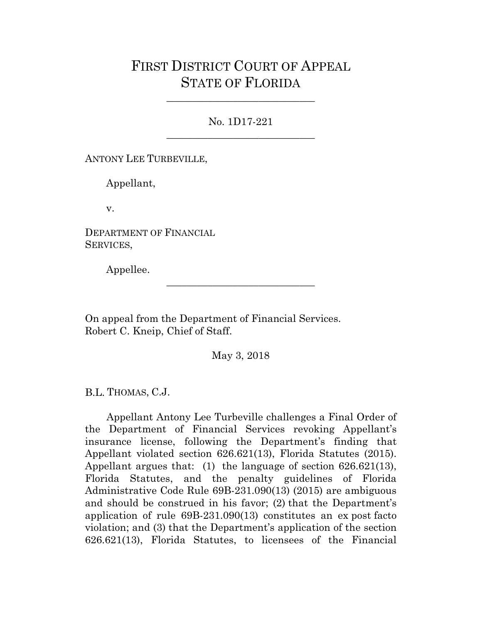# FIRST DISTRICT COURT OF APPEAL STATE OF FLORIDA

No. 1D17-221 \_\_\_\_\_\_\_\_\_\_\_\_\_\_\_\_\_\_\_\_\_\_\_\_\_\_\_\_\_

\_\_\_\_\_\_\_\_\_\_\_\_\_\_\_\_\_\_\_\_\_\_\_\_\_\_\_\_\_

ANTONY LEE TURBEVILLE,

Appellant,

v.

DEPARTMENT OF FINANCIAL SERVICES,

Appellee.

On appeal from the Department of Financial Services. Robert C. Kneip, Chief of Staff.

May 3, 2018

\_\_\_\_\_\_\_\_\_\_\_\_\_\_\_\_\_\_\_\_\_\_\_\_\_\_\_\_\_

B.L. THOMAS, C.J.

Appellant Antony Lee Turbeville challenges a Final Order of the Department of Financial Services revoking Appellant's insurance license, following the Department's finding that Appellant violated section 626.621(13), Florida Statutes (2015). Appellant argues that: (1) the language of section 626.621(13), Florida Statutes, and the penalty guidelines of Florida Administrative Code Rule 69B-231.090(13) (2015) are ambiguous and should be construed in his favor; (2) that the Department's application of rule 69B-231.090(13) constitutes an ex post facto violation; and (3) that the Department's application of the section 626.621(13), Florida Statutes, to licensees of the Financial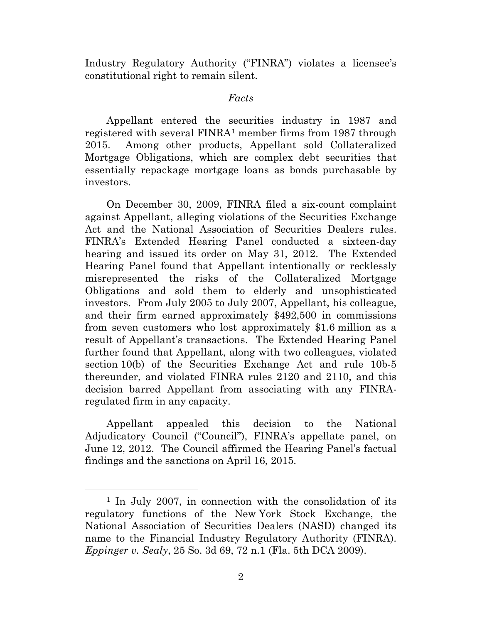Industry Regulatory Authority ("FINRA") violates a licensee's constitutional right to remain silent.

#### *Facts*

Appellant entered the securities industry in 1987 and registered with several FINRA[1](#page-1-0) member firms from 1987 through 2015. Among other products, Appellant sold Collateralized Mortgage Obligations, which are complex debt securities that essentially repackage mortgage loans as bonds purchasable by investors.

On December 30, 2009, FINRA filed a six-count complaint against Appellant, alleging violations of the Securities Exchange Act and the National Association of Securities Dealers rules. FINRA's Extended Hearing Panel conducted a sixteen-day hearing and issued its order on May 31, 2012. The Extended Hearing Panel found that Appellant intentionally or recklessly misrepresented the risks of the Collateralized Mortgage Obligations and sold them to elderly and unsophisticated investors. From July 2005 to July 2007, Appellant, his colleague, and their firm earned approximately \$492,500 in commissions from seven customers who lost approximately \$1.6 million as a result of Appellant's transactions. The Extended Hearing Panel further found that Appellant, along with two colleagues, violated section 10(b) of the Securities Exchange Act and rule 10b-5 thereunder, and violated FINRA rules 2120 and 2110, and this decision barred Appellant from associating with any FINRAregulated firm in any capacity.

Appellant appealed this decision to the National Adjudicatory Council ("Council"), FINRA's appellate panel, on June 12, 2012. The Council affirmed the Hearing Panel's factual findings and the sanctions on April 16, 2015.

<span id="page-1-0"></span> <sup>1</sup> In July 2007, in connection with the consolidation of its regulatory functions of the New York Stock Exchange, the National Association of Securities Dealers (NASD) changed its name to the Financial Industry Regulatory Authority (FINRA). *Eppinger v. Sealy*, 25 So. 3d 69, 72 n.1 (Fla. 5th DCA 2009).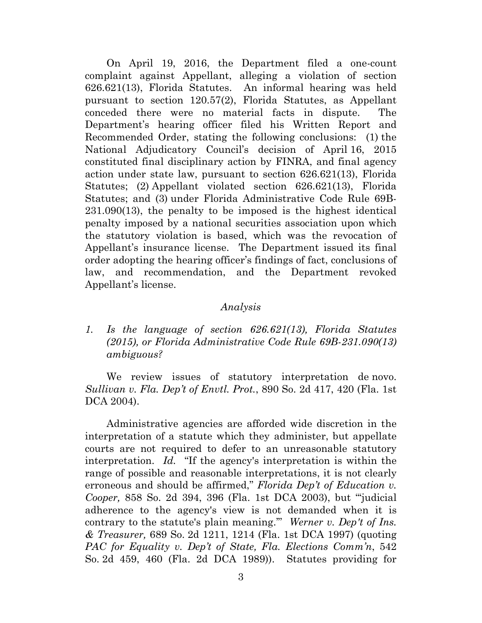On April 19, 2016, the Department filed a one-count complaint against Appellant, alleging a violation of section 626.621(13), Florida Statutes. An informal hearing was held pursuant to section 120.57(2), Florida Statutes, as Appellant conceded there were no material facts in dispute. The Department's hearing officer filed his Written Report and Recommended Order, stating the following conclusions: (1) the National Adjudicatory Council's decision of April 16, 2015 constituted final disciplinary action by FINRA, and final agency action under state law, pursuant to section 626.621(13), Florida Statutes; (2) Appellant violated section 626.621(13), Florida Statutes; and (3) under Florida Administrative Code Rule 69B-231.090(13), the penalty to be imposed is the highest identical penalty imposed by a national securities association upon which the statutory violation is based, which was the revocation of Appellant's insurance license. The Department issued its final order adopting the hearing officer's findings of fact, conclusions of law, and recommendation, and the Department revoked Appellant's license.

#### *Analysis*

*1. Is the language of section 626.621(13), Florida Statutes (2015), or Florida Administrative Code Rule 69B-231.090(13) ambiguous?*

We review issues of statutory interpretation de novo. *Sullivan v. Fla. Dep't of Envtl. Prot.*, 890 So. 2d 417, 420 (Fla. 1st DCA 2004).

Administrative agencies are afforded wide discretion in the interpretation of a statute which they administer, but appellate courts are not required to defer to an unreasonable statutory interpretation. *Id.* "If the agency's interpretation is within the range of possible and reasonable interpretations, it is not clearly erroneous and should be affirmed," *Florida Dep't of Education v. Cooper,* 858 So. 2d 394, 396 (Fla. 1st DCA 2003), but "'judicial adherence to the agency's view is not demanded when it is contrary to the statute's plain meaning.'" *Werner v. Dep't of Ins. & Treasurer,* 689 So. 2d 1211, 1214 (Fla. 1st DCA 1997) (quoting *PAC for Equality v. Dep't of State, Fla. Elections Comm'n*, 542 So. 2d 459, 460 (Fla. 2d DCA 1989)). Statutes providing for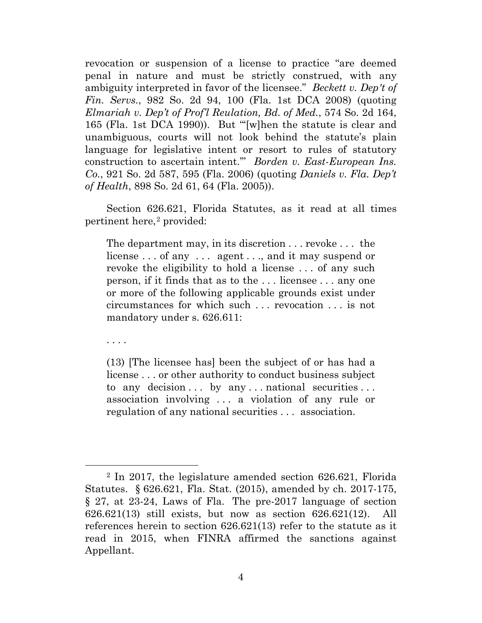revocation or suspension of a license to practice "are deemed penal in nature and must be strictly construed, with any ambiguity interpreted in favor of the licensee." *Beckett v. Dep't of Fin. Servs.*, 982 So. 2d 94, 100 (Fla. 1st DCA 2008) (quoting *Elmariah v. Dep't of Prof'l Reulation, Bd. of Med.*, 574 So. 2d 164, 165 (Fla. 1st DCA 1990)). But "'[w]hen the statute is clear and unambiguous, courts will not look behind the statute's plain language for legislative intent or resort to rules of statutory construction to ascertain intent.'" *Borden v. East-European Ins. Co.*, 921 So. 2d 587, 595 (Fla. 2006) (quoting *Daniels v. Fla. Dep't of Health*, 898 So. 2d 61, 64 (Fla. 2005)).

Section 626.621, Florida Statutes, as it read at all times pertinent here,<sup>[2](#page-3-0)</sup> provided:

The department may, in its discretion . . . revoke . . . the license ... of any ... agent ..., and it may suspend or revoke the eligibility to hold a license . . . of any such person, if it finds that as to the . . . licensee . . . any one or more of the following applicable grounds exist under circumstances for which such . . . revocation . . . is not mandatory under s. 626.611:

. . . .

(13) [The licensee has] been the subject of or has had a license . . . or other authority to conduct business subject to any decision  $\ldots$  by any  $\ldots$  national securities  $\ldots$ association involving . . . a violation of any rule or regulation of any national securities . . . association.

<span id="page-3-0"></span> <sup>2</sup> In 2017, the legislature amended section 626.621, Florida Statutes. § 626.621, Fla. Stat. (2015), amended by ch. 2017-175, § 27, at 23-24, Laws of Fla. The pre-2017 language of section 626.621(13) still exists, but now as section 626.621(12). All references herein to section 626.621(13) refer to the statute as it read in 2015, when FINRA affirmed the sanctions against Appellant.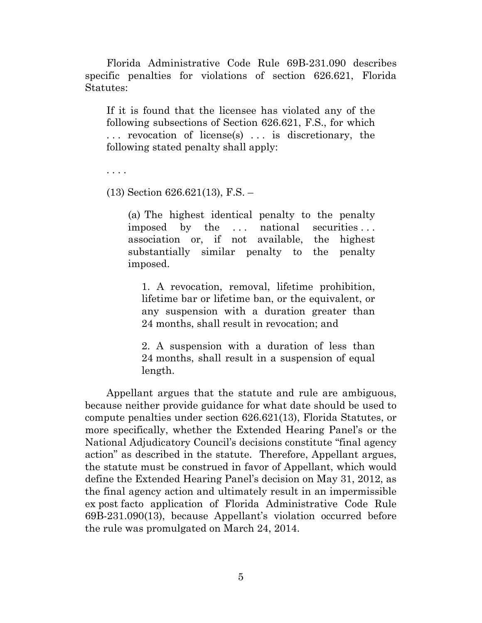Florida Administrative Code Rule 69B-231.090 describes specific penalties for violations of section 626.621, Florida Statutes:

If it is found that the licensee has violated any of the following subsections of Section 626.621, F.S., for which . . . revocation of license(s) . . . is discretionary, the following stated penalty shall apply:

. . . .

(13) Section 626.621(13), F.S. –

(a) The highest identical penalty to the penalty imposed by the ... national securities... association or, if not available, the highest substantially similar penalty to the penalty imposed.

1. A revocation, removal, lifetime prohibition, lifetime bar or lifetime ban, or the equivalent, or any suspension with a duration greater than 24 months, shall result in revocation; and

2. A suspension with a duration of less than 24 months, shall result in a suspension of equal length.

Appellant argues that the statute and rule are ambiguous, because neither provide guidance for what date should be used to compute penalties under section 626.621(13), Florida Statutes, or more specifically, whether the Extended Hearing Panel's or the National Adjudicatory Council's decisions constitute "final agency action" as described in the statute. Therefore, Appellant argues, the statute must be construed in favor of Appellant, which would define the Extended Hearing Panel's decision on May 31, 2012, as the final agency action and ultimately result in an impermissible ex post facto application of Florida Administrative Code Rule 69B-231.090(13), because Appellant's violation occurred before the rule was promulgated on March 24, 2014.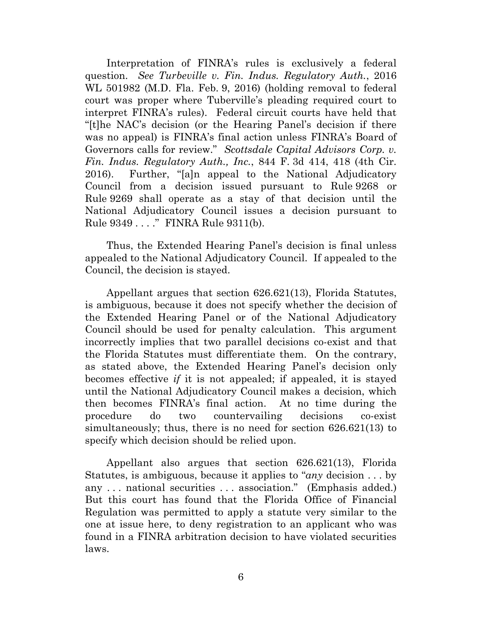Interpretation of FINRA's rules is exclusively a federal question. *See Turbeville v. Fin. Indus. Regulatory Auth.*, 2016 WL 501982 (M.D. Fla. Feb. 9, 2016) (holding removal to federal court was proper where Tuberville's pleading required court to interpret FINRA's rules). Federal circuit courts have held that "[t]he NAC's decision (or the Hearing Panel's decision if there was no appeal) is FINRA's final action unless FINRA's Board of Governors calls for review." *Scottsdale Capital Advisors Corp. v. Fin. Indus. Regulatory Auth., Inc.*, 844 F. 3d 414, 418 (4th Cir. 2016). Further, "[a]n appeal to the National Adjudicatory Council from a decision issued pursuant to Rule 9268 or Rule 9269 shall operate as a stay of that decision until the National Adjudicatory Council issues a decision pursuant to Rule 9349 . . . ." FINRA Rule 9311(b).

Thus, the Extended Hearing Panel's decision is final unless appealed to the National Adjudicatory Council. If appealed to the Council, the decision is stayed.

Appellant argues that section 626.621(13), Florida Statutes, is ambiguous, because it does not specify whether the decision of the Extended Hearing Panel or of the National Adjudicatory Council should be used for penalty calculation. This argument incorrectly implies that two parallel decisions co-exist and that the Florida Statutes must differentiate them. On the contrary, as stated above, the Extended Hearing Panel's decision only becomes effective *if* it is not appealed; if appealed, it is stayed until the National Adjudicatory Council makes a decision, which then becomes FINRA's final action. At no time during the procedure do two countervailing decisions co-exist simultaneously; thus, there is no need for section 626.621(13) to specify which decision should be relied upon.

Appellant also argues that section 626.621(13), Florida Statutes, is ambiguous, because it applies to "*any* decision . . . by any . . . national securities . . . association." (Emphasis added.) But this court has found that the Florida Office of Financial Regulation was permitted to apply a statute very similar to the one at issue here, to deny registration to an applicant who was found in a FINRA arbitration decision to have violated securities laws.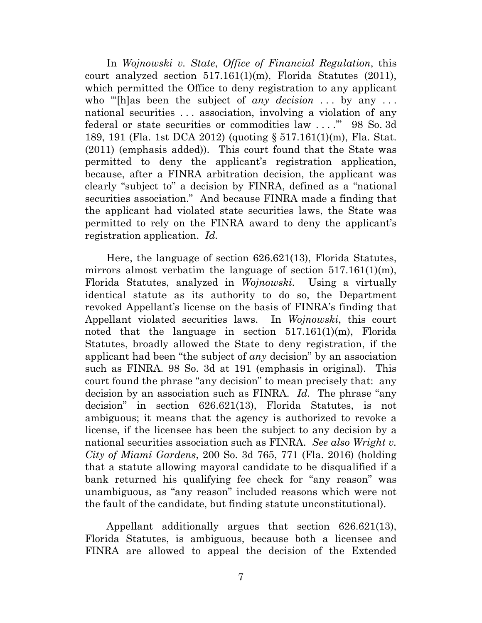In *Wojnowski v. State*, *Office of Financial Regulation*, this court analyzed section 517.161(1)(m), Florida Statutes (2011), which permitted the Office to deny registration to any applicant who "[h]as been the subject of *any decision* ... by any ... national securities . . . association, involving a violation of any federal or state securities or commodities law . . . .'" 98 So. 3d 189, 191 (Fla. 1st DCA 2012) (quoting § 517.161(1)(m), Fla. Stat. (2011) (emphasis added)). This court found that the State was permitted to deny the applicant's registration application, because, after a FINRA arbitration decision, the applicant was clearly "subject to" a decision by FINRA, defined as a "national securities association." And because FINRA made a finding that the applicant had violated state securities laws, the State was permitted to rely on the FINRA award to deny the applicant's registration application. *Id.*

Here, the language of section 626.621(13), Florida Statutes, mirrors almost verbatim the language of section  $517.161(1)(m)$ , Florida Statutes, analyzed in *Wojnowski*. Using a virtually identical statute as its authority to do so, the Department revoked Appellant's license on the basis of FINRA's finding that Appellant violated securities laws. In *Wojnowski*, this court noted that the language in section 517.161(1)(m), Florida Statutes, broadly allowed the State to deny registration, if the applicant had been "the subject of *any* decision" by an association such as FINRA. 98 So. 3d at 191 (emphasis in original). This court found the phrase "any decision" to mean precisely that: any decision by an association such as FINRA. *Id.* The phrase "any decision" in section 626.621(13), Florida Statutes, is not ambiguous; it means that the agency is authorized to revoke a license, if the licensee has been the subject to any decision by a national securities association such as FINRA. *See also Wright v. City of Miami Gardens*, 200 So. 3d 765, 771 (Fla. 2016) (holding that a statute allowing mayoral candidate to be disqualified if a bank returned his qualifying fee check for "any reason" was unambiguous, as "any reason" included reasons which were not the fault of the candidate, but finding statute unconstitutional).

Appellant additionally argues that section 626.621(13), Florida Statutes, is ambiguous, because both a licensee and FINRA are allowed to appeal the decision of the Extended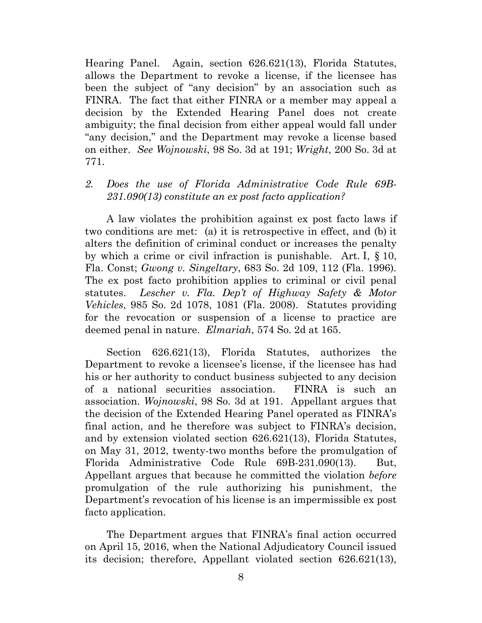Hearing Panel. Again, section 626.621(13), Florida Statutes, allows the Department to revoke a license, if the licensee has been the subject of "any decision" by an association such as FINRA. The fact that either FINRA or a member may appeal a decision by the Extended Hearing Panel does not create ambiguity; the final decision from either appeal would fall under "any decision," and the Department may revoke a license based on either. *See Wojnowski*, 98 So. 3d at 191; *Wright*, 200 So. 3d at 771.

## *2. Does the use of Florida Administrative Code Rule 69B-231.090(13) constitute an ex post facto application?*

A law violates the prohibition against ex post facto laws if two conditions are met: (a) it is retrospective in effect, and (b) it alters the definition of criminal conduct or increases the penalty by which a crime or civil infraction is punishable. Art. I, § 10, Fla. Const; *Gwong v. Singeltary*, 683 So. 2d 109, 112 (Fla. 1996). The ex post facto prohibition applies to criminal or civil penal statutes. *Lescher v. Fla. Dep't of Highway Safety & Motor Vehicles*, 985 So. 2d 1078, 1081 (Fla. 2008). Statutes providing for the revocation or suspension of a license to practice are deemed penal in nature. *Elmariah*, 574 So. 2d at 165.

Section 626.621(13), Florida Statutes, authorizes the Department to revoke a licensee's license, if the licensee has had his or her authority to conduct business subjected to any decision of a national securities association. FINRA is such an association. *Wojnowski*, 98 So. 3d at 191. Appellant argues that the decision of the Extended Hearing Panel operated as FINRA's final action, and he therefore was subject to FINRA's decision, and by extension violated section 626.621(13), Florida Statutes, on May 31, 2012, twenty-two months before the promulgation of Florida Administrative Code Rule 69B-231.090(13). But, Appellant argues that because he committed the violation *before* promulgation of the rule authorizing his punishment, the Department's revocation of his license is an impermissible ex post facto application.

The Department argues that FINRA's final action occurred on April 15, 2016, when the National Adjudicatory Council issued its decision; therefore, Appellant violated section 626.621(13),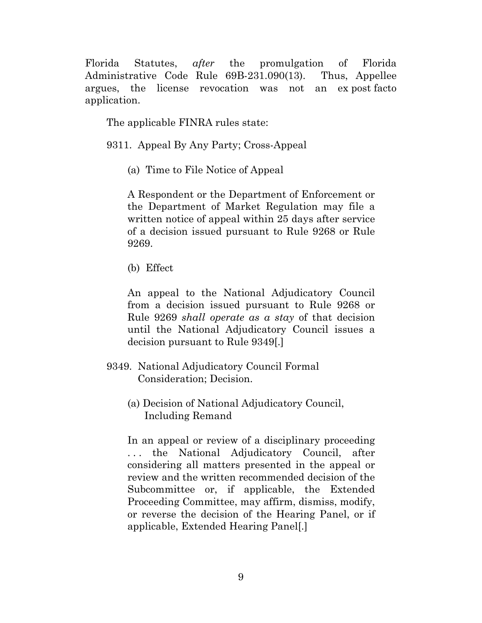Florida Statutes, *after* the promulgation of Florida Administrative Code Rule 69B-231.090(13). Thus, Appellee argues, the license revocation was not an ex post facto application.

The applicable FINRA rules state:

9311. Appeal By Any Party; Cross-Appeal

(a) Time to File Notice of Appeal

A Respondent or the Department of Enforcement or the Department of Market Regulation may file a written notice of appeal within 25 days after service of a decision issued pursuant to Rule 9268 or Rule 9269.

(b) Effect

An appeal to the National Adjudicatory Council from a decision issued pursuant to Rule 9268 or Rule 9269 *shall operate as a stay* of that decision until the National Adjudicatory Council issues a decision pursuant to Rule 9349[.]

- 9349. National Adjudicatory Council Formal Consideration; Decision.
	- (a) Decision of National Adjudicatory Council, Including Remand

In an appeal or review of a disciplinary proceeding . . . the National Adjudicatory Council, after considering all matters presented in the appeal or review and the written recommended decision of the Subcommittee or, if applicable, the Extended Proceeding Committee, may affirm, dismiss, modify, or reverse the decision of the Hearing Panel, or if applicable, Extended Hearing Panel[.]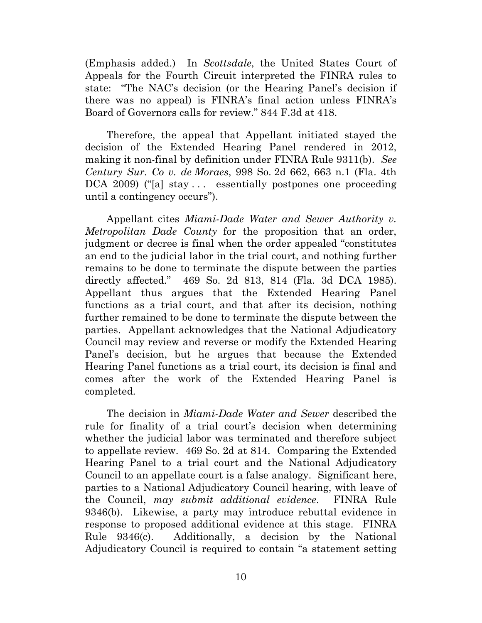(Emphasis added.) In *Scottsdale*, the United States Court of Appeals for the Fourth Circuit interpreted the FINRA rules to state: "The NAC's decision (or the Hearing Panel's decision if there was no appeal) is FINRA's final action unless FINRA's Board of Governors calls for review." 844 F.3d at 418.

Therefore, the appeal that Appellant initiated stayed the decision of the Extended Hearing Panel rendered in 2012, making it non-final by definition under FINRA Rule 9311(b). *See Century Sur. Co v. de Moraes*, 998 So. 2d 662, 663 n.1 (Fla. 4th DCA 2009) ("[a] stay ... essentially postpones one proceeding until a contingency occurs").

Appellant cites *Miami-Dade Water and Sewer Authority v. Metropolitan Dade County* for the proposition that an order, judgment or decree is final when the order appealed "constitutes an end to the judicial labor in the trial court, and nothing further remains to be done to terminate the dispute between the parties directly affected." 469 So. 2d 813, 814 (Fla. 3d DCA 1985). Appellant thus argues that the Extended Hearing Panel functions as a trial court, and that after its decision, nothing further remained to be done to terminate the dispute between the parties. Appellant acknowledges that the National Adjudicatory Council may review and reverse or modify the Extended Hearing Panel's decision, but he argues that because the Extended Hearing Panel functions as a trial court, its decision is final and comes after the work of the Extended Hearing Panel is completed.

The decision in *Miami-Dade Water and Sewer* described the rule for finality of a trial court's decision when determining whether the judicial labor was terminated and therefore subject to appellate review. 469 So. 2d at 814. Comparing the Extended Hearing Panel to a trial court and the National Adjudicatory Council to an appellate court is a false analogy. Significant here, parties to a National Adjudicatory Council hearing, with leave of the Council, *may submit additional evidence*. FINRA Rule 9346(b). Likewise, a party may introduce rebuttal evidence in response to proposed additional evidence at this stage. FINRA Rule 9346(c). Additionally, a decision by the National Adjudicatory Council is required to contain "a statement setting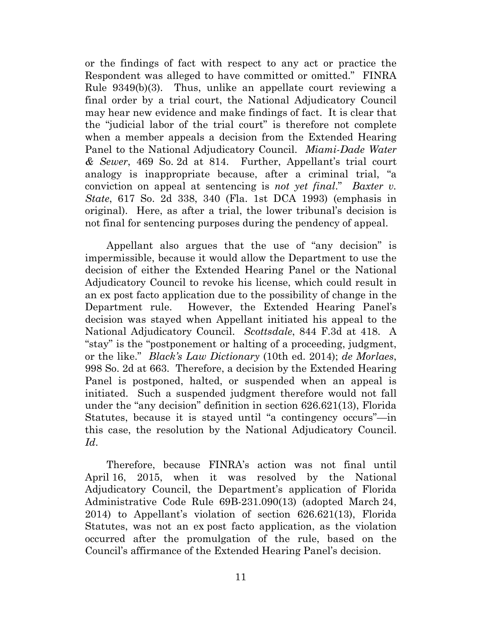or the findings of fact with respect to any act or practice the Respondent was alleged to have committed or omitted." FINRA Rule 9349(b)(3). Thus, unlike an appellate court reviewing a final order by a trial court, the National Adjudicatory Council may hear new evidence and make findings of fact. It is clear that the "judicial labor of the trial court" is therefore not complete when a member appeals a decision from the Extended Hearing Panel to the National Adjudicatory Council. *Miami-Dade Water & Sewer*, 469 So. 2d at 814. Further, Appellant's trial court analogy is inappropriate because, after a criminal trial, "a conviction on appeal at sentencing is *not yet final*." *Baxter v. State*, 617 So. 2d 338, 340 (Fla. 1st DCA 1993) (emphasis in original). Here, as after a trial, the lower tribunal's decision is not final for sentencing purposes during the pendency of appeal.

Appellant also argues that the use of "any decision" is impermissible, because it would allow the Department to use the decision of either the Extended Hearing Panel or the National Adjudicatory Council to revoke his license, which could result in an ex post facto application due to the possibility of change in the Department rule. However, the Extended Hearing Panel's decision was stayed when Appellant initiated his appeal to the National Adjudicatory Council. *Scottsdale*, 844 F.3d at 418. A "stay" is the "postponement or halting of a proceeding, judgment, or the like." *Black's Law Dictionary* (10th ed. 2014); *de Morlaes*, 998 So. 2d at 663. Therefore, a decision by the Extended Hearing Panel is postponed, halted, or suspended when an appeal is initiated. Such a suspended judgment therefore would not fall under the "any decision" definition in section 626.621(13), Florida Statutes, because it is stayed until "a contingency occurs"—in this case, the resolution by the National Adjudicatory Council. *Id*.

Therefore, because FINRA's action was not final until April 16, 2015, when it was resolved by the National Adjudicatory Council, the Department's application of Florida Administrative Code Rule 69B-231.090(13) (adopted March 24, 2014) to Appellant's violation of section 626.621(13), Florida Statutes, was not an ex post facto application, as the violation occurred after the promulgation of the rule, based on the Council's affirmance of the Extended Hearing Panel's decision.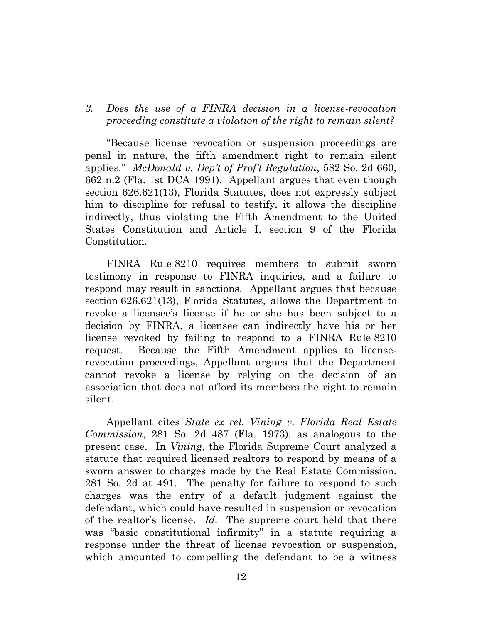## *3. Does the use of a FINRA decision in a license-revocation proceeding constitute a violation of the right to remain silent?*

"Because license revocation or suspension proceedings are penal in nature, the fifth amendment right to remain silent applies." *McDonald v. Dep't of Prof'l Regulation*, 582 So. 2d 660, 662 n.2 (Fla. 1st DCA 1991). Appellant argues that even though section 626.621(13), Florida Statutes, does not expressly subject him to discipline for refusal to testify, it allows the discipline indirectly, thus violating the Fifth Amendment to the United States Constitution and Article I, section 9 of the Florida Constitution.

FINRA Rule 8210 requires members to submit sworn testimony in response to FINRA inquiries, and a failure to respond may result in sanctions. Appellant argues that because section 626.621(13), Florida Statutes, allows the Department to revoke a licensee's license if he or she has been subject to a decision by FINRA, a licensee can indirectly have his or her license revoked by failing to respond to a FINRA Rule 8210 request. Because the Fifth Amendment applies to licenserevocation proceedings, Appellant argues that the Department cannot revoke a license by relying on the decision of an association that does not afford its members the right to remain silent.

Appellant cites *State ex rel. Vining v. Florida Real Estate Commission*, 281 So. 2d 487 (Fla. 1973), as analogous to the present case. In *Vining*, the Florida Supreme Court analyzed a statute that required licensed realtors to respond by means of a sworn answer to charges made by the Real Estate Commission. 281 So. 2d at 491. The penalty for failure to respond to such charges was the entry of a default judgment against the defendant, which could have resulted in suspension or revocation of the realtor's license. *Id.* The supreme court held that there was "basic constitutional infirmity" in a statute requiring a response under the threat of license revocation or suspension, which amounted to compelling the defendant to be a witness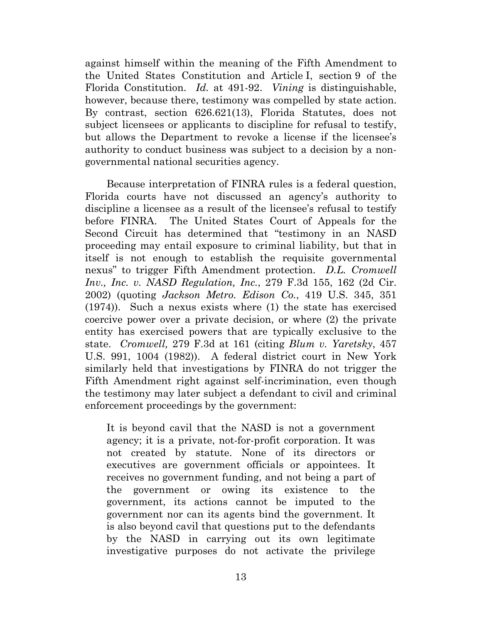against himself within the meaning of the Fifth Amendment to the United States Constitution and Article I, section 9 of the Florida Constitution. *Id.* at 491-92. *Vining* is distinguishable, however, because there, testimony was compelled by state action. By contrast, section 626.621(13), Florida Statutes, does not subject licensees or applicants to discipline for refusal to testify, but allows the Department to revoke a license if the licensee's authority to conduct business was subject to a decision by a nongovernmental national securities agency.

Because interpretation of FINRA rules is a federal question, Florida courts have not discussed an agency's authority to discipline a licensee as a result of the licensee's refusal to testify before FINRA. The United States Court of Appeals for the Second Circuit has determined that "testimony in an NASD proceeding may entail exposure to criminal liability, but that in itself is not enough to establish the requisite governmental nexus" to trigger Fifth Amendment protection. *D.L. Cromwell Inv., Inc. v. NASD Regulation, Inc.*, 279 F.3d 155, 162 (2d Cir. 2002) (quoting *Jackson Metro. Edison Co.*, 419 U.S. 345, 351 (1974)). Such a nexus exists where (1) the state has exercised coercive power over a private decision, or where (2) the private entity has exercised powers that are typically exclusive to the state. *Cromwell,* 279 F.3d at 161 (citing *Blum v. Yaretsky*, 457 U.S. 991, 1004 (1982)). A federal district court in New York similarly held that investigations by FINRA do not trigger the Fifth Amendment right against self-incrimination, even though the testimony may later subject a defendant to civil and criminal enforcement proceedings by the government:

It is beyond cavil that the NASD is not a government agency; it is a private, not-for-profit corporation. It was not created by statute. None of its directors or executives are government officials or appointees. It receives no government funding, and not being a part of the government or owing its existence to the government, its actions cannot be imputed to the government nor can its agents bind the government. It is also beyond cavil that questions put to the defendants by the NASD in carrying out its own legitimate investigative purposes do not activate the privilege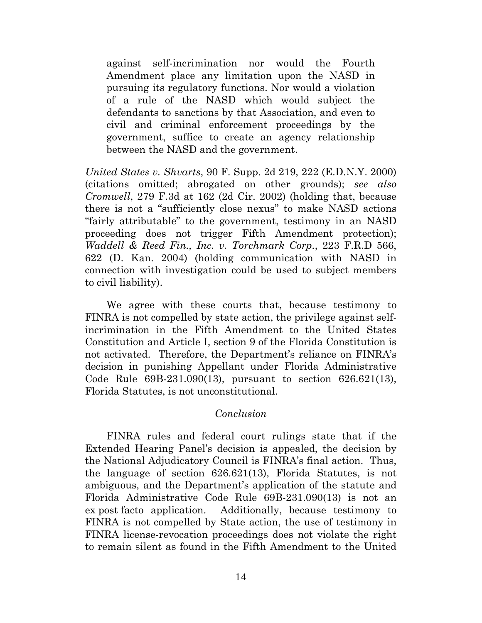against self-incrimination nor would the Fourth Amendment place any limitation upon the NASD in pursuing its regulatory functions. Nor would a violation of a rule of the NASD which would subject the defendants to sanctions by that Association, and even to civil and criminal enforcement proceedings by the government, suffice to create an agency relationship between the NASD and the government.

*United States v. Shvarts*, 90 F. Supp. 2d 219, 222 (E.D.N.Y. 2000) (citations omitted; abrogated on other grounds); *see also Cromwell*, 279 F.3d at 162 (2d Cir. 2002) (holding that, because there is not a "sufficiently close nexus" to make NASD actions "fairly attributable" to the government, testimony in an NASD proceeding does not trigger Fifth Amendment protection); *Waddell & Reed Fin., Inc. v. Torchmark Corp.*, 223 F.R.D 566, 622 (D. Kan. 2004) (holding communication with NASD in connection with investigation could be used to subject members to civil liability).

We agree with these courts that, because testimony to FINRA is not compelled by state action, the privilege against selfincrimination in the Fifth Amendment to the United States Constitution and Article I, section 9 of the Florida Constitution is not activated. Therefore, the Department's reliance on FINRA's decision in punishing Appellant under Florida Administrative Code Rule 69B-231.090(13), pursuant to section 626.621(13), Florida Statutes, is not unconstitutional.

#### *Conclusion*

FINRA rules and federal court rulings state that if the Extended Hearing Panel's decision is appealed, the decision by the National Adjudicatory Council is FINRA's final action. Thus, the language of section 626.621(13), Florida Statutes, is not ambiguous, and the Department's application of the statute and Florida Administrative Code Rule 69B-231.090(13) is not an ex post facto application. Additionally, because testimony to FINRA is not compelled by State action, the use of testimony in FINRA license-revocation proceedings does not violate the right to remain silent as found in the Fifth Amendment to the United